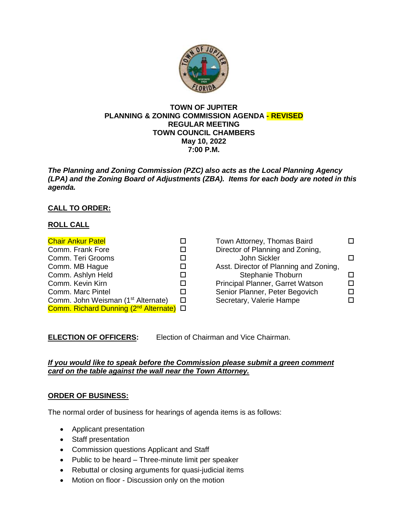

#### **TOWN OF JUPITER PLANNING & ZONING COMMISSION AGENDA - REVISED REGULAR MEETING TOWN COUNCIL CHAMBERS May 10, 2022 7:00 P.M.**

*The Planning and Zoning Commission (PZC) also acts as the Local Planning Agency (LPA) and the Zoning Board of Adjustments (ZBA). Items for each body are noted in this agenda.*

# **CALL TO ORDER:**

## **ROLL CALL**

| <b>Chair Ankur Patel</b>                            |   |
|-----------------------------------------------------|---|
| Comm. Frank Fore                                    | П |
| Comm. Teri Grooms                                   | П |
| Comm. MB Hague                                      |   |
| Comm. Ashlyn Held                                   | □ |
| Comm. Kevin Kirn                                    | П |
| Comm. Marc Pintel                                   | п |
| Comm. John Weisman (1 <sup>st</sup> Alternate)      | П |
| Comm. Richard Dunning (2 <sup>nd</sup> Alternate) □ |   |

| Town Attorney, Thomas Baird            |  |
|----------------------------------------|--|
| Director of Planning and Zoning,       |  |
| John Sickler                           |  |
| Asst. Director of Planning and Zoning, |  |
| Stephanie Thoburn                      |  |
| Principal Planner, Garret Watson       |  |
| Senior Planner, Peter Begovich         |  |
| Secretary, Valerie Hampe               |  |

**ELECTION OF OFFICERS:** Election of Chairman and Vice Chairman.

### *If you would like to speak before the Commission please submit a green comment card on the table against the wall near the Town Attorney.*

### **ORDER OF BUSINESS:**

The normal order of business for hearings of agenda items is as follows:

- Applicant presentation
- Staff presentation
- Commission questions Applicant and Staff
- Public to be heard Three-minute limit per speaker
- Rebuttal or closing arguments for quasi-judicial items
- Motion on floor Discussion only on the motion